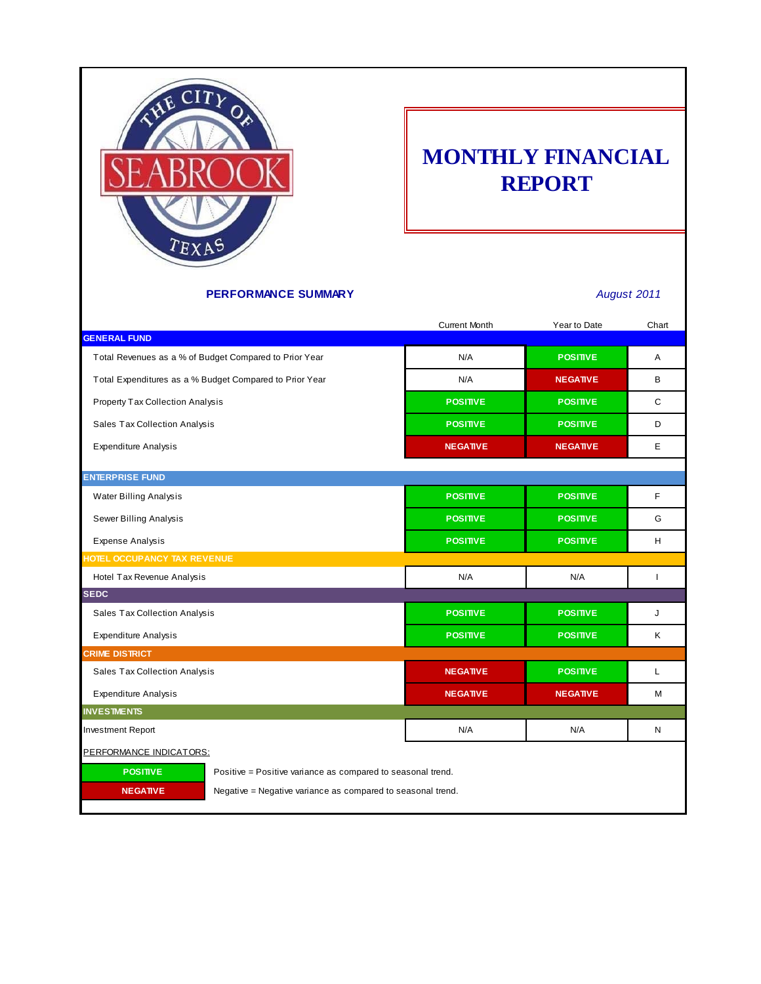

## **MONTHLY FINANCIAL REPORT**

### **PERFORMANCE SUMMARY** *August 2011*

|                                                                                | <b>Current Month</b> | Year to Date                                                | Chart        |  |  |  |
|--------------------------------------------------------------------------------|----------------------|-------------------------------------------------------------|--------------|--|--|--|
| <b>GENERAL FUND</b>                                                            |                      |                                                             |              |  |  |  |
| Total Revenues as a % of Budget Compared to Prior Year                         | N/A                  | <b>POSITIVE</b>                                             | A            |  |  |  |
| Total Expenditures as a % Budget Compared to Prior Year                        | N/A                  | <b>NEGATIVE</b>                                             | B            |  |  |  |
| Property Tax Collection Analysis                                               | <b>POSITIVE</b>      | <b>POSITIVE</b>                                             | C            |  |  |  |
| Sales Tax Collection Analysis                                                  | <b>POSITIVE</b>      | <b>POSITIVE</b>                                             | D            |  |  |  |
| <b>Expenditure Analysis</b>                                                    | <b>NEGATIVE</b>      | <b>NEGATIVE</b>                                             | E            |  |  |  |
| <b>ENTERPRISE FUND</b>                                                         |                      |                                                             |              |  |  |  |
| Water Billing Analysis                                                         | <b>POSITIVE</b>      | <b>POSITIVE</b>                                             | F            |  |  |  |
| Sewer Billing Analysis                                                         | <b>POSITIVE</b>      | <b>POSITIVE</b>                                             | G            |  |  |  |
| <b>Expense Analysis</b>                                                        | <b>POSITIVE</b>      | <b>POSITIVE</b>                                             | H            |  |  |  |
| HOTEL OCCUPANCY TAX REVENUE                                                    |                      |                                                             |              |  |  |  |
| Hotel Tax Revenue Analysis                                                     | N/A                  | N/A                                                         | $\mathbf{I}$ |  |  |  |
| <b>SEDC</b>                                                                    |                      |                                                             |              |  |  |  |
| Sales Tax Collection Analysis                                                  | <b>POSITIVE</b>      | <b>POSITIVE</b>                                             | J            |  |  |  |
| <b>Expenditure Analysis</b>                                                    | <b>POSITIVE</b>      | <b>POSITIVE</b>                                             | Κ            |  |  |  |
| <b>CRIME DISTRICT</b>                                                          |                      |                                                             |              |  |  |  |
| Sales Tax Collection Analysis                                                  | <b>NEGATIVE</b>      | <b>POSITIVE</b>                                             | L            |  |  |  |
| <b>Expenditure Analysis</b>                                                    | <b>NEGATIVE</b>      | <b>NEGATIVE</b>                                             | M            |  |  |  |
| <b>INVESTMENTS</b>                                                             |                      |                                                             |              |  |  |  |
| <b>Investment Report</b>                                                       | N/A                  | N/A                                                         | N            |  |  |  |
| PERFORMANCE INDICATORS:                                                        |                      |                                                             |              |  |  |  |
| <b>POSITIVE</b><br>Positive = Positive variance as compared to seasonal trend. |                      |                                                             |              |  |  |  |
| <b>NEGATIVE</b>                                                                |                      | Negative = Negative variance as compared to seasonal trend. |              |  |  |  |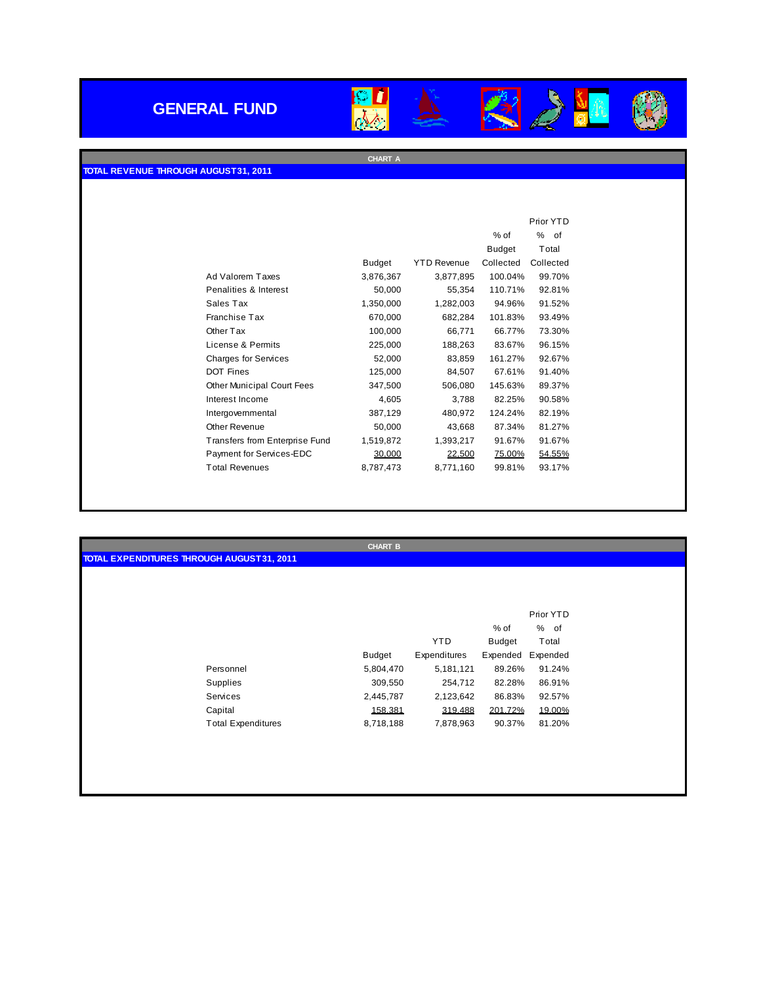## **GENERAL FUND**



225

**AN** 

**CHART A**



|                                |               |                    |               | Prior YTD |
|--------------------------------|---------------|--------------------|---------------|-----------|
|                                |               |                    | $%$ of        | %<br>of   |
|                                |               |                    | <b>Budget</b> | Total     |
|                                | <b>Budget</b> | <b>YTD Revenue</b> | Collected     | Collected |
| Ad Valorem Taxes               | 3,876,367     | 3,877,895          | 100.04%       | 99.70%    |
| Penalities & Interest          | 50,000        | 55,354             | 110.71%       | 92.81%    |
| Sales Tax                      | 1,350,000     | 1,282,003          | 94.96%        | 91.52%    |
| Franchise Tax                  | 670,000       | 682,284            | 101.83%       | 93.49%    |
| Other Tax                      | 100,000       | 66,771             | 66.77%        | 73.30%    |
| License & Permits              | 225,000       | 188,263            | 83.67%        | 96.15%    |
| <b>Charges for Services</b>    | 52,000        | 83,859             | 161.27%       | 92.67%    |
| <b>DOT Fines</b>               | 125,000       | 84,507             | 67.61%        | 91.40%    |
| Other Municipal Court Fees     | 347,500       | 506,080            | 145.63%       | 89.37%    |
| Interest Income                | 4,605         | 3,788              | 82.25%        | 90.58%    |
| Intergovernmental              | 387,129       | 480,972            | 124.24%       | 82.19%    |
| Other Revenue                  | 50,000        | 43,668             | 87.34%        | 81.27%    |
| Transfers from Enterprise Fund | 1,519,872     | 1,393,217          | 91.67%        | 91.67%    |
| Payment for Services-EDC       | 30.000        | 22.500             | 75.00%        | 54.55%    |
| <b>Total Revenues</b>          | 8,787,473     | 8,771,160          | 99.81%        | 93.17%    |

|                                            | <b>CHART B</b> |              |          |           |  |
|--------------------------------------------|----------------|--------------|----------|-----------|--|
| TOTAL EXPENDITURES THROUGH AUGUST 31, 2011 |                |              |          |           |  |
|                                            |                |              |          |           |  |
|                                            |                |              |          |           |  |
|                                            |                |              |          |           |  |
|                                            |                |              |          | Prior YTD |  |
|                                            |                |              | % of     | % of      |  |
|                                            |                | <b>YTD</b>   | Budget   | Total     |  |
|                                            | Budget         | Expenditures | Expended | Expended  |  |
| Personnel                                  | 5,804,470      | 5,181,121    | 89.26%   | 91.24%    |  |
| Supplies                                   | 309,550        | 254,712      | 82.28%   | 86.91%    |  |
| Services                                   | 2,445,787      | 2,123,642    | 86.83%   | 92.57%    |  |
| Capital                                    | 158.381        | 319.488      | 201.72%  | 19.00%    |  |
| <b>Total Expenditures</b>                  | 8,718,188      | 7,878,963    | 90.37%   | 81.20%    |  |
|                                            |                |              |          |           |  |
|                                            |                |              |          |           |  |
|                                            |                |              |          |           |  |
|                                            |                |              |          |           |  |
|                                            |                |              |          |           |  |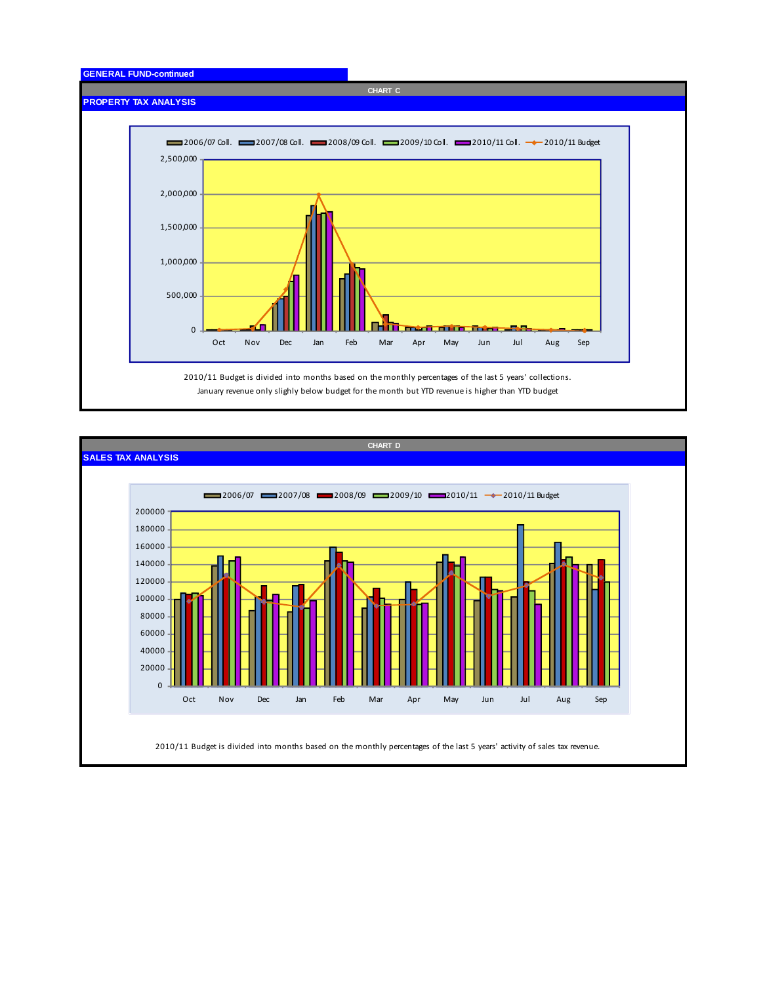

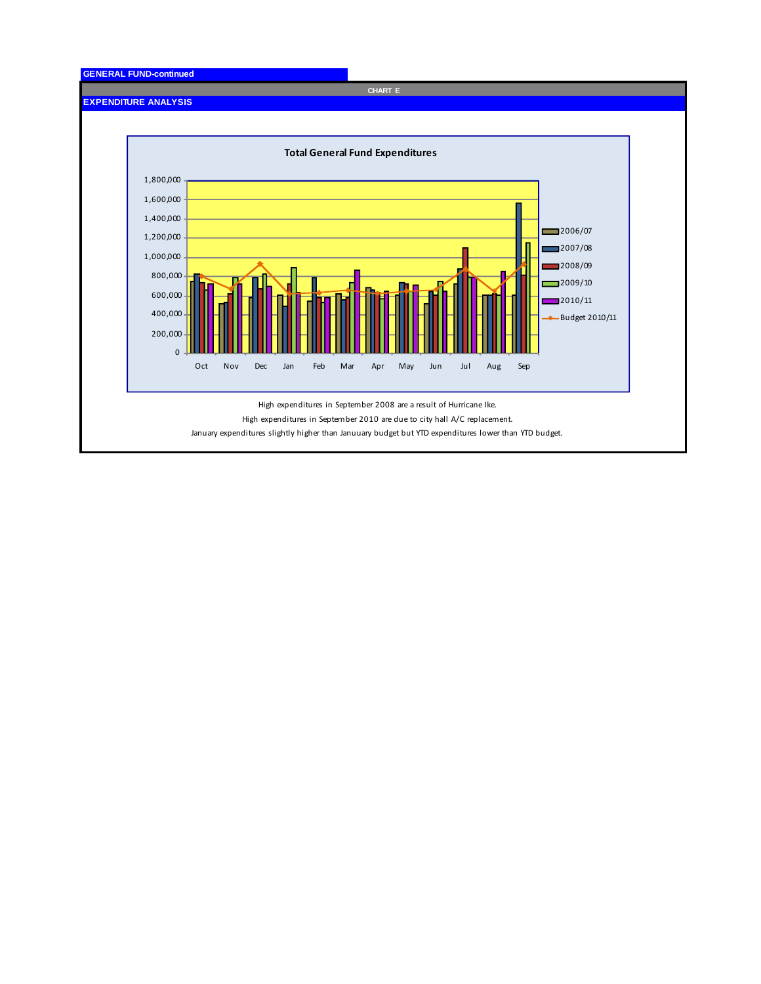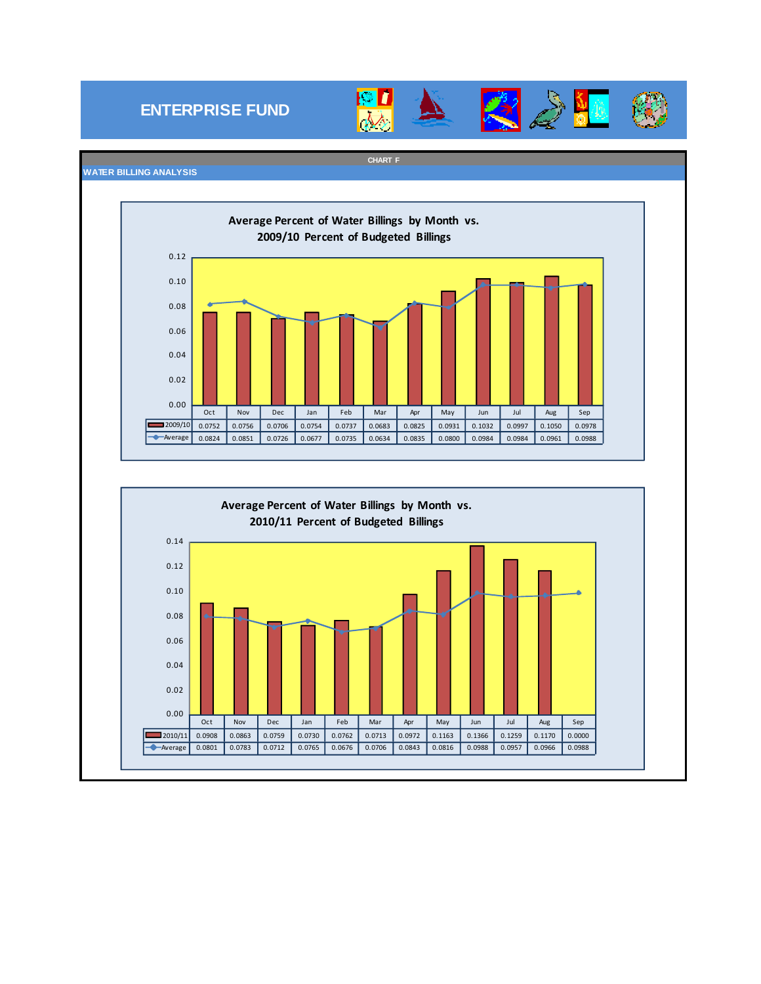### **ENTERPRISE FUND**





#### **CHART F**



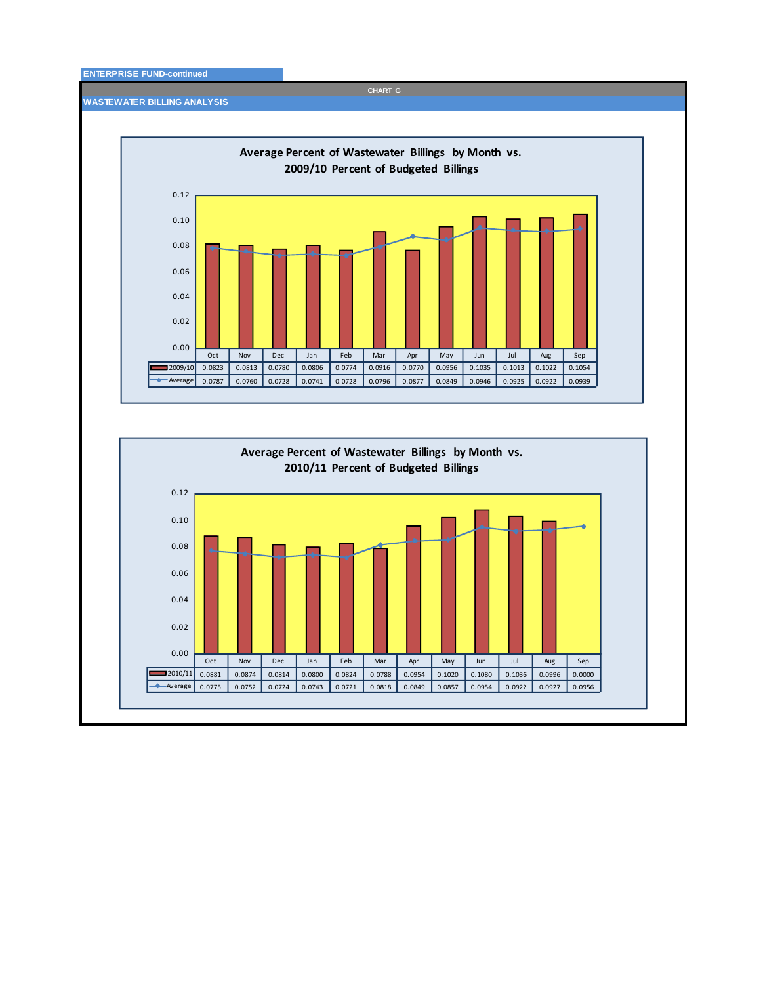#### **ENTERPRISE FUND-continued**

**CHART G**

**WASTEWATER BILLING ANALYSIS**

0.00

г

0.02



Oct Nov Dec Jan Feb Mar Apr May Jun Jul Aug Sep 2010/11 0.0881 0.0874 0.0814 0.0800 0.0824 0.0788 0.0954 0.1020 0.1080 0.1036 0.0996 0.0000 Average 0.0775 0.0752 0.0724 0.0743 0.0721 0.0818 0.0849 0.0857 0.0954 0.0922 0.0927 0.0956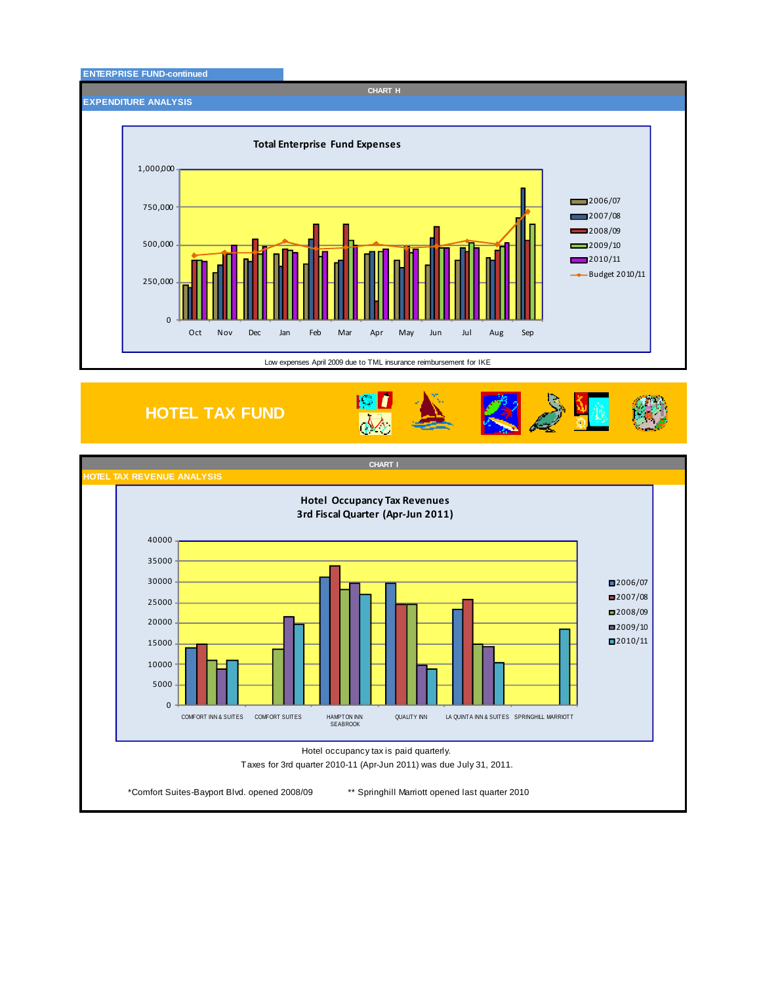

**HOTEL TAX FUND**



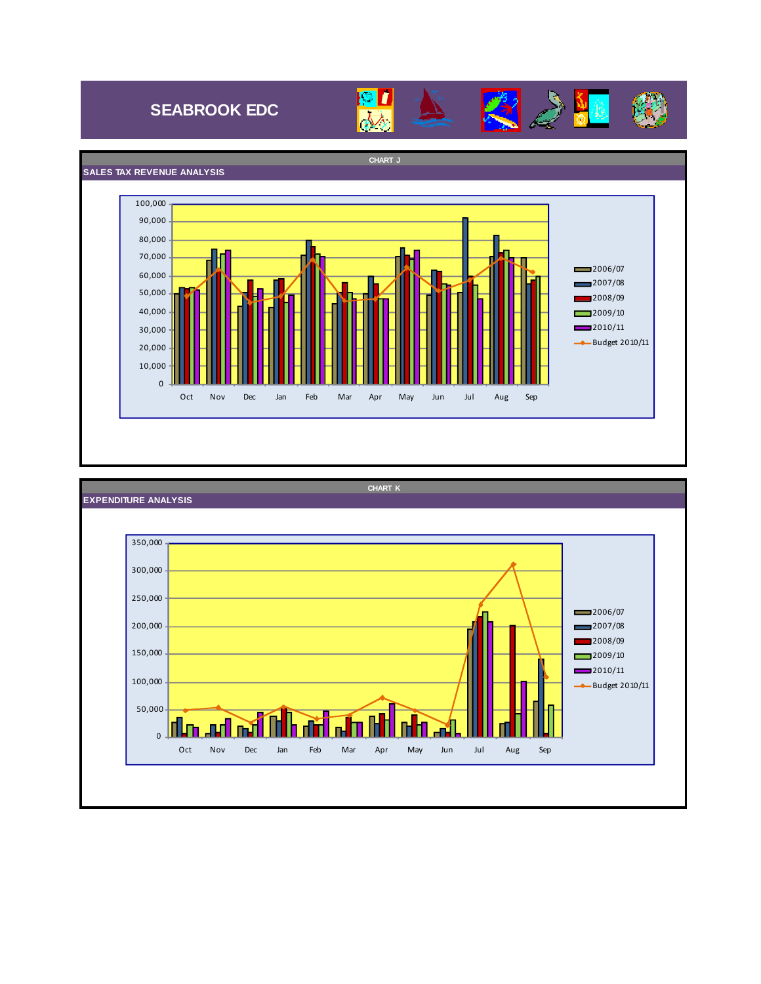## **SEABROOK EDC**





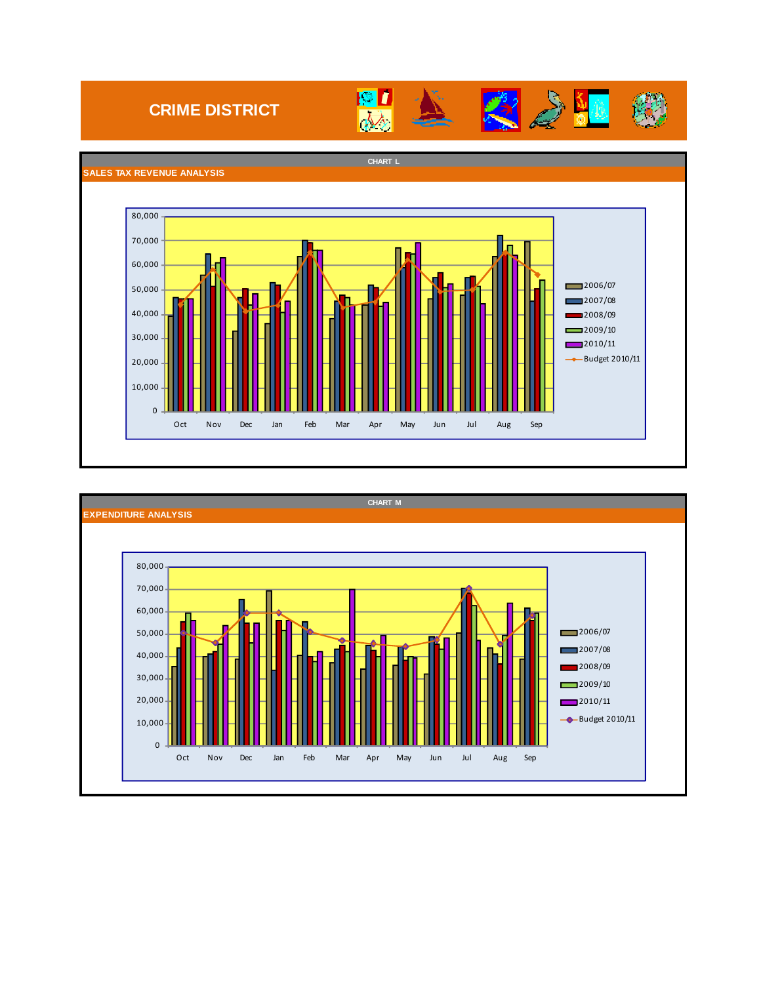### **CRIME DISTRICT**





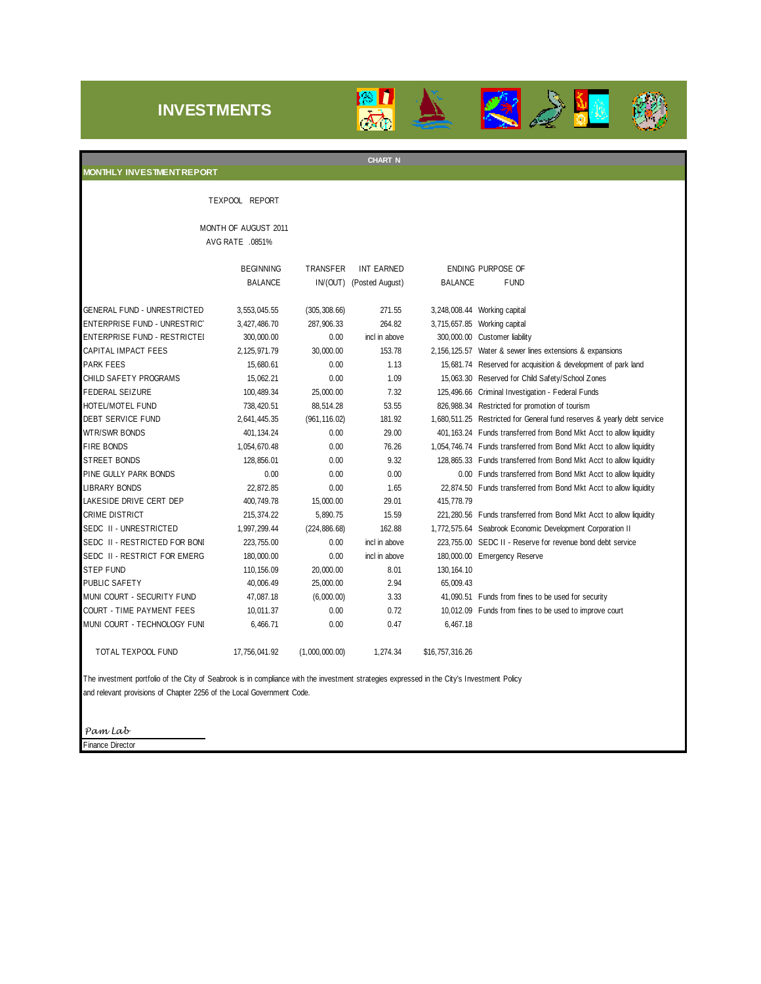### **INVESTMENTS**





### TEXPOOL REPORT MONTH OF AUGUST 2011 AVG RATE .0851% BEGINNING TRANSFER INT EARNED ENDING PURPOSE OF BALANCE IN/(OUT) (Posted August) BALANCE FUND GENERAL FUND - UNRESTRICTED 3,553,045.55 (305,308.66) 271.55 3,248,008.44 Working capital ENTERPRISE FUND - UNRESTRICT 3,427,486.70 287,906.33 264.82 3,715,657.85 Working capital ENTERPRISE FUND - RESTRICTEI 300,000.00 0.00 incl in above 300,000.00 Customer liability CAPITAL IMPACT FEES 2,125,971.79 30,000.00 153.78 2,156,125.57 Water & sewer lines extensions & expansions PARK FEES 15,680.61 15,680.61 0.00 1.13 15,681.74 Reserved for acquisition & development of park land CHILD SAFETY PROGRAMS 15,062.21 0.00 1.09 15,063.30 Reserved for Child Safety/School Zones FEDERAL SEIZURE 100,489.34 25,000.00 7.32 125,496.66 Criminal Investigation - Federal Funds HOTEL/MOTEL FUND 738,420.51 88,514.28 53.55 826,988.34 Restricted for promotion of tourism DEBT SERVICE FUND 2,641,445.35 (961,116.02) 181.92 1,680,511.25 Restricted for General fund reserves & yearly debt service WTR/SWR BONDS 401,134.24 0.00 29.00 401,163.24 Funds transferred from Bond Mkt Acct to allow liquidity FIRE BONDS 1,054,670.48 0.00 76.26 1,054,746.74 Funds transferred from Bond Mkt Acct to allow liquidity STREET BONDS 128,856.01 0.00 9.32 128,865.33 Funds transferred from Bond Mkt Acct to allow liquidity PINE GULLY PARK BONDS 0.00 0.00 0.00 0.00 Funds transferred from Bond Mkt Acct to allow liquidity LIBRARY BONDS 22,872.85 0.00 1.65 22,874.50 Funds transferred from Bond Mkt Acct to allow liquidity LAKESIDE DRIVE CERT DEP 400,749.78 15,000.00 29.01 415,778.79 CRIME DISTRICT 215,374.22 5,890.75 15.59 221,280.56 Funds transferred from Bond Mkt Acct to allow liquidity SEDC II - UNRESTRICTED 1,997,299.44 (224,886.68) 162.88 1,772,575.64 Seabrook Economic Development Corporation II SEDC II - RESTRICTED FOR BONI 223,755.00 0.00 incl in above 223,755.00 SEDC II - Reserve for revenue bond debt service SEDC II - RESTRICT FOR EMERG 180,000.00 0.00 incl in above 180,000.00 Emergency Reserve STEP FUND 110,156.09 20,000.00 8.01 130,164.10 PUBLIC SAFETY 40,006.49 25,000.00 2.94 65,009.43 MUNI COURT - SECURITY FUND 47,087.18 (6,000.00) 3.33 41,090.51 Funds from fines to be used for security COURT - TIME PAYMENT FEES 10,011.37 0.00 0.72 10,012.09 Funds from fines to be used to improve court MUNI COURT - TECHNOLOGY FUNI 6,466.71 0.00 0.47 6,467.18 TOTAL TEXPOOL FUND 17,756,041.92 (1,000,000.00) 1,274.34 \$16,757,316.26 **MONTHLY INVESTMENT REPORT CHART N**

The investment portfolio of the City of Seabrook is in compliance with the investment strategies expressed in the City's Investment Policy and relevant provisions of Chapter 2256 of the Local Government Code.

*Pam Lab*

Finance Director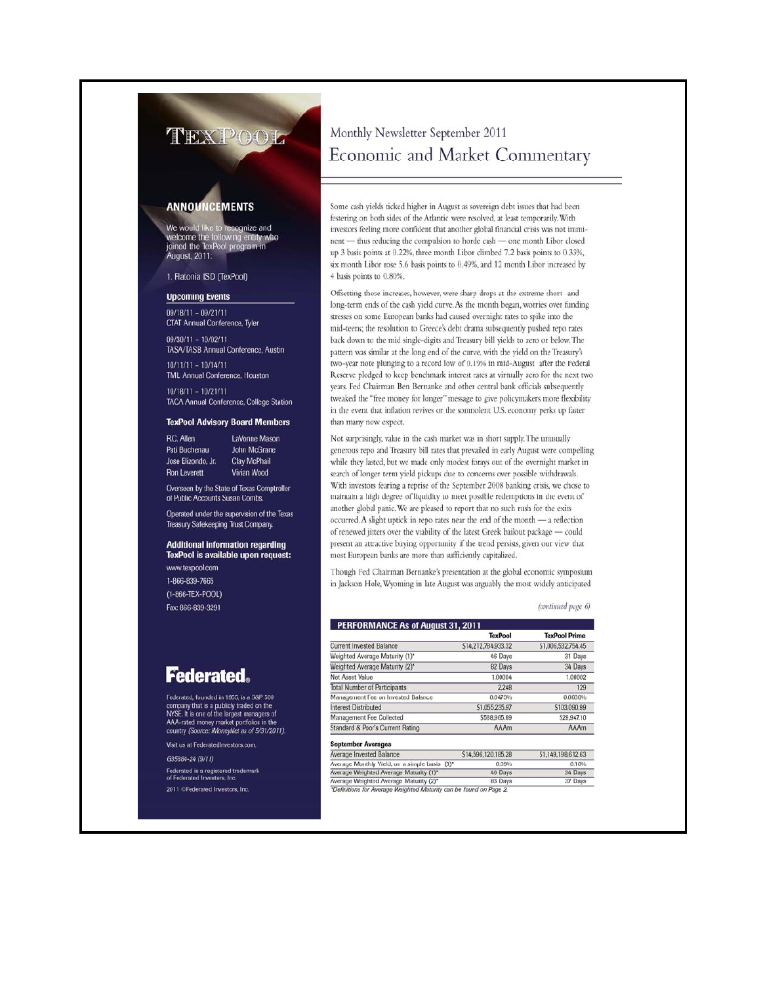#### **ANNOUNCEMENTS**

We would like to recognize and<br>welcome the following entity who<br>joined the TexPool program in **August, 2011:** 

#### 1. Flatonia ISD (TexPool)

#### **Upcoming Events**

 $09/18/11 - 09/21/11$ **CTAT Annual Conference, Tyler** 

 $09/30/11 - 10/02/11$ **TASA/TASB Annual Conference, Austin** 

 $10/11/11 - 10/14/11$ **TML Annual Conference, Houston** 

 $10/18/11 - 10/21/11$ **TACA Annual Conference, College Station** 

#### **TexPool Advisory Board Members**

**R.C. Allen** LaVonne Mason John McGrane Pati Buchenau Clay McPhail Jose Elizondo, Jr. Vivian Wood **Ron Leverett** 

Overseen by the State of Texas Comptroller of Public Accounts Susan Combs.

Operated under the supervision of the Texas Treasury Safekeeping Trust Company.

**Additional information regarding** TexPool is available upon request: www.texpool.com

1-866-839-7665 (1-866-TEX-POOL) Fax: 866-839-3291

### **Federated.**

Federated, founded in 1955, is a S&P 500 company that is a publicly traded on the<br>NYSE. It is one of the largest managers of<br>AAA-rated money market portfolios in the country (Source: iMoneyNet as of 5/31/2011).

Visit us at FederatedInvestors.com

G35884-24 (9/11)

Federated is a registered trademark<br>of Federated Investors, Inc. 2011 CFederated Investors, Inc.

### Monthly Newsletter September 2011 Economic and Market Commentary

Some cash yields ticked higher in August as sovereign debt issues that had been festering on both sides of the Atlantic were resolved, at least temporarily. With investors feeling more confident that another global financial crisis was not imminent - thus reducing the compulsion to horde cash - one month Libor closed up 3 basis points at 0.22%, three month Libor climbed 7.2 basis points to 0.33%, six month Libor rose 5.6 basis points to 0.49%, and 12 month Libor increased by 4 basis points to 0.80%.

Offsetting those increases, however, were sharp drops at the extreme short- and long-term ends of the cash yield curve. As the month began, worries over funding stresses on some European banks had caused overnight rates to spike into the mid-teens; the resolution to Greece's debt drama subsequently pushed repo rates back down to the mid single-digits and Treasury bill yields to zero or below. The pattern was similar at the long end of the curve, with the yield on the Treasury's two-year note plunging to a record low of 0.19% in mid-August after the Federal Reserve pledged to keep benchmark interest rates at virtually zero for the next two years. Fed Chairman Ben Bernanke and other central bank officials subsequently tweaked the "free money for longer" message to give policymakers more flexibility in the event that inflation revives or the somnolent U.S. economy perks up faster than many now expect.

Not surprisingly, value in the cash market was in short supply. The unusually generous repo and Treasury bill rates that prevailed in early August were compelling while they lasted, but we made only modest forays out of the overnight market in search of longer term yield pickups due to concerns over possible withdrawals. With investors fearing a reprise of the September 2008 banking crisis, we chose to maintain a high degree of liquidity to meet possible redemptions in the event of another global panic. We are pleased to report that no such rush for the exits occurred. A slight uptick in repo rates near the end of the month - a reflection of renewed jitters over the viability of the latest Greek bailout package - could present an attractive buying opportunity if the trend persists, given our view that most European banks are more than sufficiently capitalized.

Though Fed Chairman Bernanke's presentation at the global economic symposium in Jackson Hole, Wyoming in late August was arguably the most widely anticipated

(continued page 6)

|                                     | <b>TexPool</b>      | <b>TexPool Prime</b> |
|-------------------------------------|---------------------|----------------------|
| Current Invested Balance            | \$14,212,784,933.32 | \$1,006,532,754.45   |
| Weighted Average Maturity (1)*      | 46 Days             | 31 Days              |
| Weighted Average Maturity (2)*      | 82 Days             | 34 Days              |
| Net Asset Value                     | 1.00004             | 1.00002              |
| <b>Total Number of Participants</b> | 2.248               | 129                  |
| Management Fee on Invested Balance  | 0.0473%             | 0.0638%              |
| <b>Interest Distributed</b>         | \$1,055,235.97      | \$103,090.99         |
| Management Fee Collected            | \$588,965.89        | \$29,947.10          |
| Standard & Poor's Current Rating    | AAAm                | AAAm                 |

#### **Sentember Averages**

| Average Invested Balance                                           | \$14,596,120,185.28 | \$1,149,198,612.63 |
|--------------------------------------------------------------------|---------------------|--------------------|
| Average Monthly Yield, on a simple basis (3)*                      | 0.09%               | 0.10%              |
| Average Weighted Average Maturity (1)*                             | 46 Days             | 34 Days            |
| Average Weighted Average Maturity (2)*                             | 83 Days             | 37 Days            |
| *Definitions for Average Weighted Maturity can be found on Page 2. |                     |                    |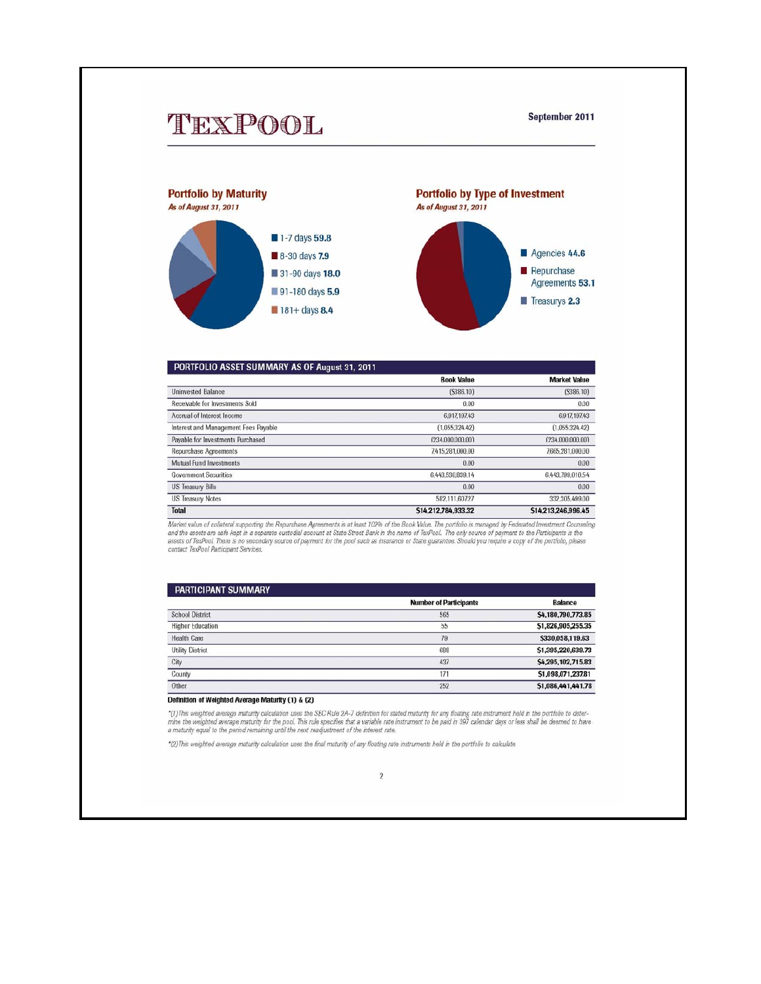#### September 2011



| PORTFOLIO ASSET SUMMARY AS OF August 31, 2011 |                     |                     |
|-----------------------------------------------|---------------------|---------------------|
|                                               | <b>Book Value</b>   | <b>Market Value</b> |
| <b>Uninvested Balance</b>                     | (S386,10)           | (S386, 10)          |
| Receivable for Investments Sold               | 0.00                | 0.00                |
| Accrual of Interest Income                    | 6.917.197.43        | 6.917,197.43        |
| Interest and Management Fees Payable          | (1.055, 324.42)     | (1.055.324.42)      |
| Payable for Investments Purchased             | (234,000,000,001    | (234,000,000,00)    |
| <b>Repurchase Agreements</b>                  | 7,415,281,000.00    | 7,665,281,000.00    |
| Mutual Fund Investments                       | 0.00                | 0.00                |
| <b>Government Securities</b>                  | 6.443.530.839.14    | 6.443.799.010.54    |
| <b>US Treasury Bills</b>                      | 0.00                | 0.00                |
| <b>US Treasury Notes</b>                      | 582.111.607.27      | 332.305.499.00      |
| <b>Total</b>                                  | \$14,212,784,933.32 | \$14,213,246,996.45 |

Market value of collateral supporting the Repurchase Agreements is at least 102% of the Book Value. The portfolio is managed by Federated Investment Counseling<br>and the assets are safe kept in a separate custodial account a

| <b>PARTICIPANT SUMMARY</b> |                               |                    |
|----------------------------|-------------------------------|--------------------|
|                            | <b>Number of Participants</b> | <b>Balance</b>     |
| <b>School District</b>     | 565                           | \$4,180,790,773.85 |
| <b>Higher Education</b>    | 55                            | \$1,826,905,255.35 |
| Health Care                | 79                            | \$330,058,119.63   |
| <b>Utility District</b>    | 688                           | \$1,395,220,639.73 |
| City                       | 437                           | \$4,295,102,715.83 |
| County                     | 171                           | \$1,098,071,237.81 |
| Other                      | 252                           | \$1,086,441,441.78 |

#### Definition of Weighted Average Maturity (1) & (2)

\*(1)This weighted average maturity calculation uses the SEC Rule 2A-7 definition for stated maturity for any floating rate instrument held in the portfolio to determine the weighted average maturity for the poor. This rule

\*(2) This weighted average maturity calculation uses the final maturity of any floating rate instruments held in the portfolio to calculate

#### $\overline{2}$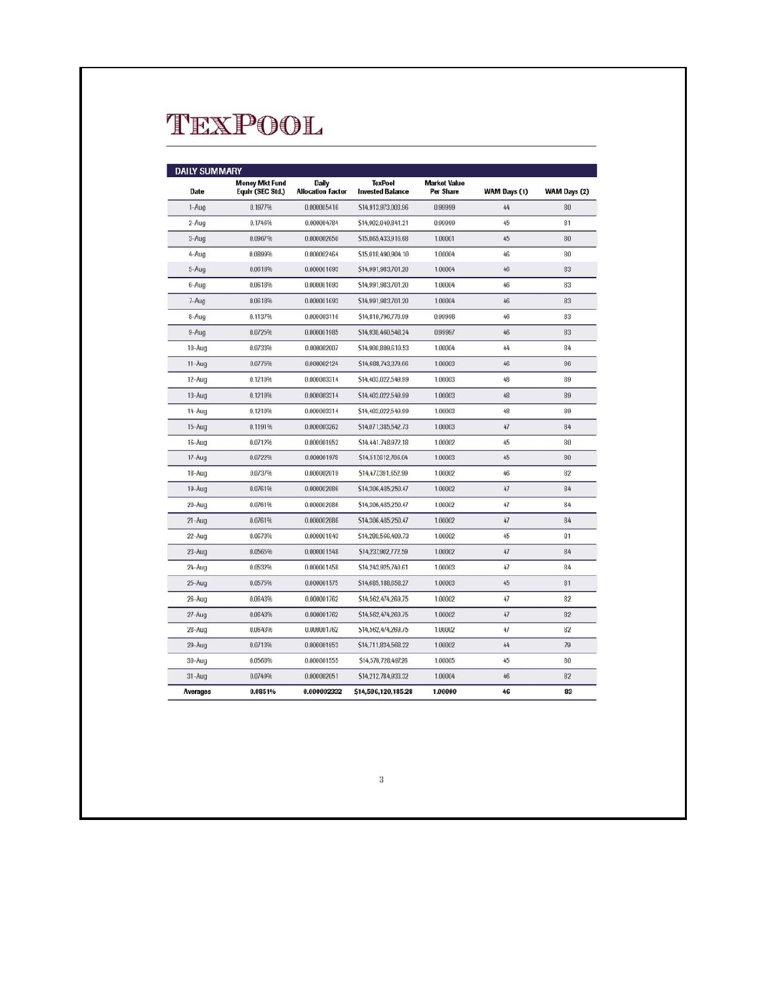| <b>DAILY SUMMARY</b> |                                           |                                          |                                           |                                         |              |              |
|----------------------|-------------------------------------------|------------------------------------------|-------------------------------------------|-----------------------------------------|--------------|--------------|
| <b>Date</b>          | <b>Money Mkt Fund</b><br>Equiv (SEC Std.) | <b>Daily</b><br><b>Allocation Factor</b> | <b>TexPool</b><br><b>Invested Balance</b> | <b>Market Value</b><br><b>Per Share</b> | WAM Days (1) | WAM Days (2) |
| 1-Aug                | 0.1977%                                   | 0.000005416                              | \$14,913,973,003.96                       | 0.99999                                 | 44           | 80           |
| 2-Aug                | 0.1746%                                   | 0.000004784                              | \$14,902.049.841.21                       | 0.99999                                 | 45           | 81           |
| 3-Aug                | 0.0967%                                   | 0.000002650                              | \$15,065,433,916.68                       | 1.00001                                 | 45           | 80           |
| 4-Aug                | 0.0899%                                   | 0.000002464                              | \$15,018,490,904.10                       | 1.00004                                 | 46           | 80           |
| 5-Aug                | 0.0618%                                   | 0.000001693                              | \$14,991,983,701.20                       | 1.00004                                 | 46           | 83           |
| 6-Aug                | 0.0618%                                   | 0.000001693                              | \$14,991,983,701.20                       | 1.00004                                 | 46           | 83           |
| 7-Aug                | 0.0618%                                   | 0.000001693                              | \$14,991,983,701.20                       | 1.00004                                 | 46           | 83           |
| 8-Aug                | 0.1137%                                   | 0.000003116                              | \$14,810,796,770.99                       | 0.99998                                 | 46           | 83           |
| 9-Aug                | 0.0725%                                   | 0.000001985                              | \$14,930,460,548.24                       | 0.99997                                 | 46           | 83           |
| $10$ -Aug            | 0.0733%                                   | 0.000002007                              | \$14,900,809,610.53                       | 1.00004                                 | 44           | 84           |
| 11-Aug               | 0.0775%                                   | 0.000002124                              | \$14,688,743,379.66                       | 1.00003                                 | 46           | 86           |
| 12-Aug               | 0.1210%                                   | 0.000003314                              | S14.403.022.549.99                        | 1.00003                                 | 48           | 89           |
| 13-Aug               | 0.1210%                                   | 0.000003314                              | S14.403.022.549.99                        | 1.00003                                 | 48           | 89           |
| 14-Aug               | 0.1210%                                   | 0.000003314                              | \$14,403,022,549.99                       | 1.00003                                 | 48           | 89           |
| 15-Aug               | 0.1191%                                   | 0.000003262                              | S14,071,385,542.73                        | 1.00003                                 | 47           | 84           |
| 16-Aug               | 0.0712%                                   | 0.000001952                              | S14.441.748.972.18                        | 1.00002                                 | 45           | 80           |
| $17 - Aug$           | 0.0722%                                   | 0.000001978                              | \$14,517,612,706.04                       | 1.00003                                 | 45           | 80           |
| 18-Aug               | 0.0737%                                   | 0.000002019                              | \$14,477,391,652.99                       | 1.00002                                 | 46           | 82           |
| 19-Aug               | 0.0761%                                   | 0.000002086                              | \$14,306,485,250.47                       | 1.00002                                 | 47           | 84           |
| 20-Aug               | 0.0761%                                   | 0.000002086                              | \$14,306,485,250.47                       | 1.00002                                 | 47           | 84           |
| $21 - Aug$           | 0.0761%                                   | 0.000002086                              | \$14,306,485,250.47                       | 1.00002                                 | 47           | 84           |
| $22 - Aug$           | 0.0673%                                   | 0.000001843                              | S14.280,566,409.73                        | 1.00002                                 | 45           | 81           |
| 23-Aug               | 0.0565%                                   | 0.000001548                              | \$14,237,902,772.59                       | 1.00002                                 | 47           | 84           |
| 24-Aug               | 0.0532%                                   | 0.000001458                              | S14.243.925.740.61                        | 1.00003                                 | 47           | 84           |
| 25-Aug               | 0.0575%                                   | 0.000001575                              | \$14,685,188,658.27                       | 1.00003                                 | 45           | 81           |
| $26 - Aug$           | 0.0643%                                   | 0.000001762                              | \$14,562,474,269.75                       | 1.00002                                 | 47           | 82           |
| 27-Aug               | 0.0643%                                   | 0.000001762                              | \$14,562,474,269.75                       | 1.00002                                 | 47           | 82           |
| 28-Aug               | 0.0643%                                   | 0.000001762                              | \$14,562,474,269.75                       | 1.00002                                 | 41           | 82           |
| 29-Aug               | 0.0713%                                   | 0.000001953                              | S14,711,834,568.22                        | 1.00002                                 | 44           | 79           |
| $30-Aug$             | 0.0568%                                   | 0.000001555                              | \$14,576,728,497.26                       | 1.00005                                 | 45           | 80           |
| $31 - Aug$           | 0.0749%                                   | 0.000002051                              | \$14,212,784,933.32                       | 1.00004                                 | 46           | 82           |
| Averages             | 0.0851%                                   | 0.000002332                              | \$14,596,120,185.28                       | 1.00000                                 | 46           | 83           |

 $\sqrt{3}$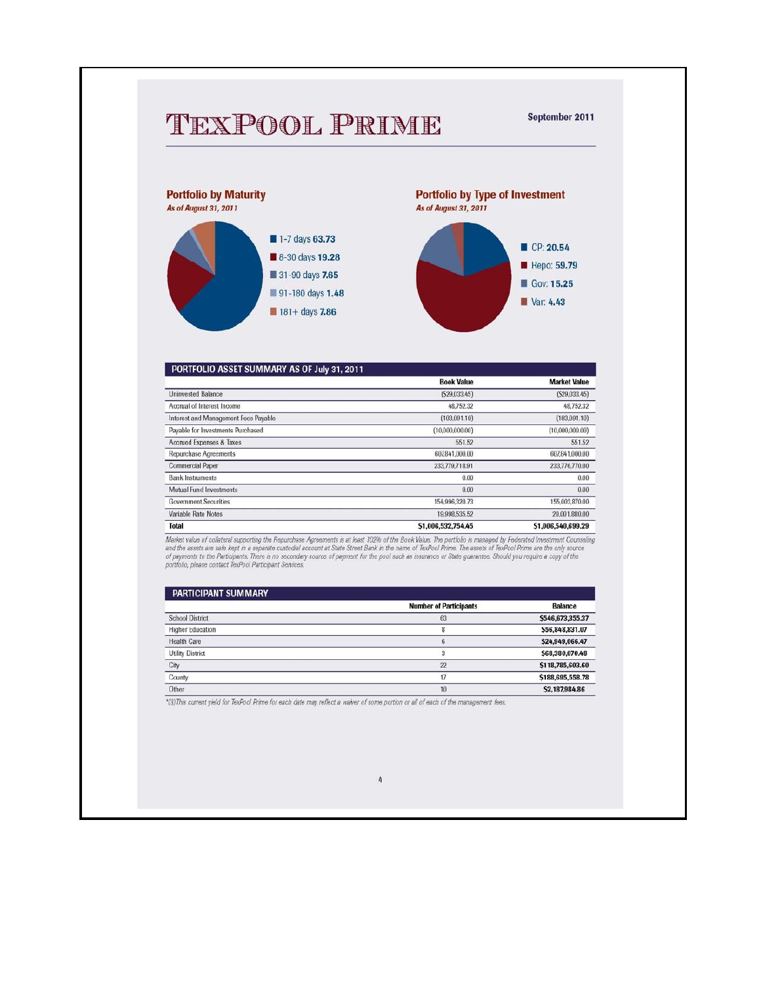## TEXPOOL PRIME

September 2011



| PORTFOLIO ASSET SUMMARY AS OF July 31, 2011 |                    |                     |
|---------------------------------------------|--------------------|---------------------|
|                                             | <b>Book Value</b>  | <b>Market Value</b> |
| <b>Uninvested Balance</b>                   | (529.033.45)       | (S29.033.45)        |
| Accrual of Interest Income                  | 48.752.32          | 48.752.32           |
| Interest and Management Fees Payable        | (103.091.10)       | (103.091.10)        |
| Payable for Investments Purchased           | (10,000,000.00)    | (10,000,000.00)     |
| Accrued Expenses & Taxes                    | 551.52             | 551.52              |
| <b>Repurchase Agreements</b>                | 607841,000.00      | 607841,000.00       |
| <b>Commercial Paper</b>                     | 233.779.718.91     | 233,776,770.00      |
| <b>Bank Instruments</b>                     | 0.00               | 0.00                |
| Mutual Fund Investments                     | 0.00               | 0.00                |
| <b>Government Securities</b>                | 154,996,320.73     | 155,003,870.00      |
| Variable Rate Notes                         | 19.998.535.52      | 20.001.880.00       |
| <b>Total</b>                                | \$1,006,532,754,45 | \$1,006,540,699.29  |

Market value of collateral supporting the Repurchase Agreements is at least 102% of the Book Value. The portfolio is managed by Federated Investment Counseling<br>and the assets are safe kept in a separate custodial account a

| <b>PARTICIPANT SUMMARY</b> |                               |                  |
|----------------------------|-------------------------------|------------------|
|                            | <b>Number of Participants</b> | <b>Balance</b>   |
| <b>School District</b>     | 63                            | \$546,673,355.37 |
| <b>Higher Education</b>    | 8                             | \$56,848,831.07  |
| <b>Health Care</b>         | 6                             | \$24,949,066.47  |
| <b>Utility District</b>    |                               | \$68,380,070.48  |
| City                       | 22                            | \$118,785,603.60 |
| County                     | 17                            | \$188,695,558.78 |
| Other                      | 10                            | \$2,187,984,86   |

\*(3) This current yield for TexPool Prime for each date may reflect a waiver of some portion or all of each of the management fees.

#### $\it 4$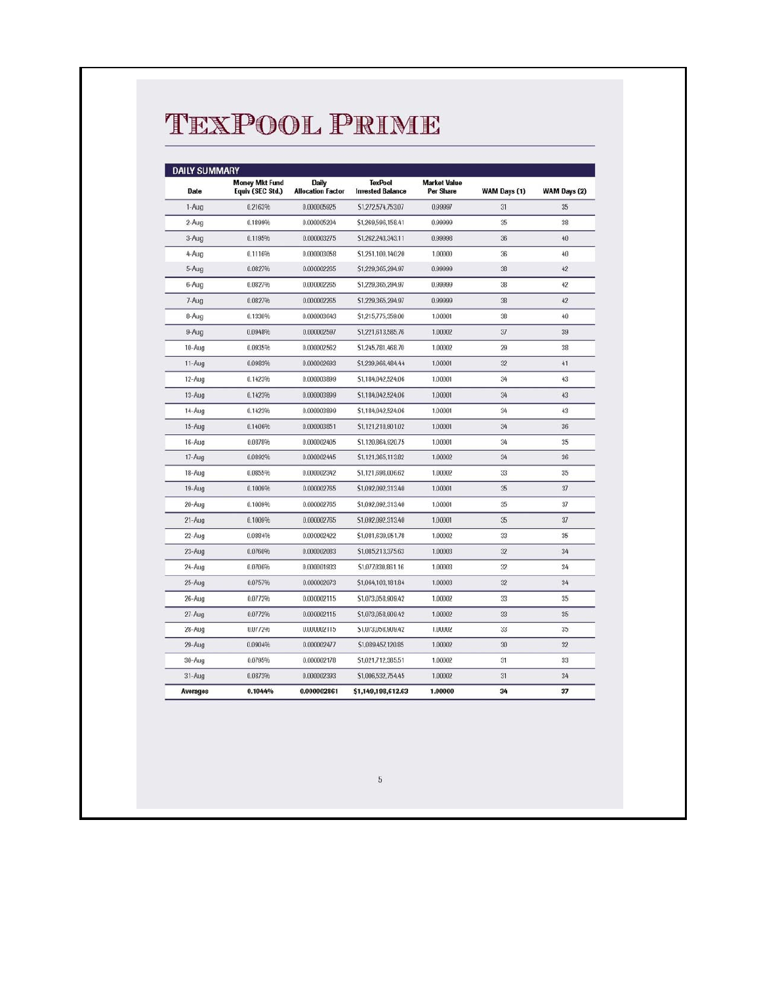# TEXPOOL PRIME

| <b>DAILY SUMMARY</b> |                                           |                                   |                                           |                                  |              |              |
|----------------------|-------------------------------------------|-----------------------------------|-------------------------------------------|----------------------------------|--------------|--------------|
| <b>Date</b>          | <b>Money Mkt Fund</b><br>Equiv (SEC Std.) | Daily<br><b>Allocation Factor</b> | <b>TexPool</b><br><b>Invested Balance</b> | <b>Market Value</b><br>Per Share | WAM Days (1) | WAM Days (2) |
| 1-Aug                | 0.2163%                                   | 0.000005925                       | \$1,272,574,753,07                        | 0.99997                          | 31           | 35           |
| $2-Aug$              | 0.1899%                                   | 0.000005204                       | \$1,269,596,158.41                        | 0.99999                          | 35           | 38           |
| 3-Aug                | 0.1195%                                   | 0.000003275                       | \$1,262,243,343.11                        | 0.99998                          | 36           | 40           |
| 4-Aug                | 0.1116%                                   | 0.000003058                       | \$1,251,100,140.20                        | 1.00000                          | 36           | 40           |
| 5-Aug                | 0.0827%                                   | 0.000002265                       | \$1,229,365,294.97                        | 0.99999                          | 38           | 42           |
| 6-Aug                | 0.0827%                                   | 0.000002265                       | \$1,229,365,294.97                        | 0.99999                          | 38           | 42           |
| 7-Aug                | 0.0827%                                   | 0.000002265                       | \$1,229,365,294.97                        | 0.99999                          | 38           | 42           |
| 8-Aug                | 0.1330%                                   | 0.000003643                       | \$1,215,775,359.00                        | 1.00001                          | 38           | 40           |
| 9-Aug                | 0.0948%                                   | 0.000002597                       | \$1,221,613,585.76                        | 1.00002                          | 37           | 39           |
| 10-Aug               | 0.0935%                                   | 0.000002562                       | \$1,245,781,468.70                        | 1.00002                          | 29           | 38           |
| 11-Aug               | 0.0983%                                   | 0.000002693                       | \$1.239,966,484.44                        | 1.00001                          | 32           | 41           |
| 12-Aug               | 0.1423%                                   | 0.000003899                       | S1.184.042.524.06                         | 1.00001                          | 34           | 43           |
| 13-Aug               | 0.1423%                                   | 0.000003899                       | \$1,184,042,524.06                        | 1.00001                          | 34           | 43           |
| 14-Aug               | 0.1423%                                   | 0.000003899                       | \$1,184,042,524.06                        | 1.00001                          | 34           | 43           |
| $15-Aug$             | 0.1406%                                   | 0.000003851                       | S1.121.210.901.02                         | 1.00001                          | 34           | 36           |
| 16-Aug               | 0.0878%                                   | 0.000002405                       | \$1,120,864,920.75                        | 1.00001                          | 34           | 35           |
| 17-Aug               | 0.0892%                                   | 0.000002445                       | \$1,121,365,113.82                        | 1.00002                          | 34           | 36           |
| 18-Aug               | 0.0855%                                   | 0.000002342                       | \$1,121,698,006.62                        | 1.00002                          | 33           | 35           |
| 19-Aug               | 0.1009%                                   | 0.000002765                       | \$1,092,092,313.40                        | 1.00001                          | 35           | 37           |
| 20-Aug               | 0.1009%                                   | 0.000002765                       | \$1,092,092,313.40                        | 1.00001                          | 35           | 37           |
| $21 - Aug$           | 0.1009%                                   | 0.000002765                       | \$1,092,092,313.40                        | 1.00001                          | 35           | 37           |
| 22-Aug               | 0.0884%                                   | 0.000002422                       | \$1,081,639,951.78                        | 1.00002                          | 33           | 35           |
| 23-Aug               | 0.0760%                                   | 0.000002083                       | \$1,085,213,375.63                        | 1.00003                          | 32           | 34           |
| 24-Aug               | 0.0706%                                   | 0.000001933                       | \$1,077,030,861.16                        | 1.00003                          | 32           | 34           |
| $25 - Aug$           | 0.0757%                                   | 0.000002073                       | \$1,064,103,181.84                        | 1.00003                          | 32           | 34           |
| 26-Aug               | 0.0772%                                   | 0.000002115                       | \$1,073,058,909.42                        | 1.00002                          | 33           | 35           |
| $27 - Aug$           | 0.0772%                                   | 0.000002115                       | S1.073.058.909.42                         | 1.00002                          | 33           | 35           |
| 28-Aug               | 0.0772%                                   | 0.000002115                       | \$1,073,058,909.42                        | 1.00002                          | 33           | 35           |
| 29-Aug               | 0.0904%                                   | 0.000002477                       | \$1,089,457,120.85                        | 1.00002                          | 30           | 32           |
| $30 - Aug$           | 0.0795%                                   | 0.000002178                       | \$1,021,712,385.51                        | 1.00002                          | 31           | 33           |
| $31-Aug$             | 0.0873%                                   | 0.000002393                       | \$1,006,532,754.45                        | 1.00002                          | 31           | 34           |
| <b>Averages</b>      | 0.1044%                                   | 0.000002861                       | \$1,149,198,612.63                        | 1.00000                          | 34           | 37           |

 $\sqrt{5}$